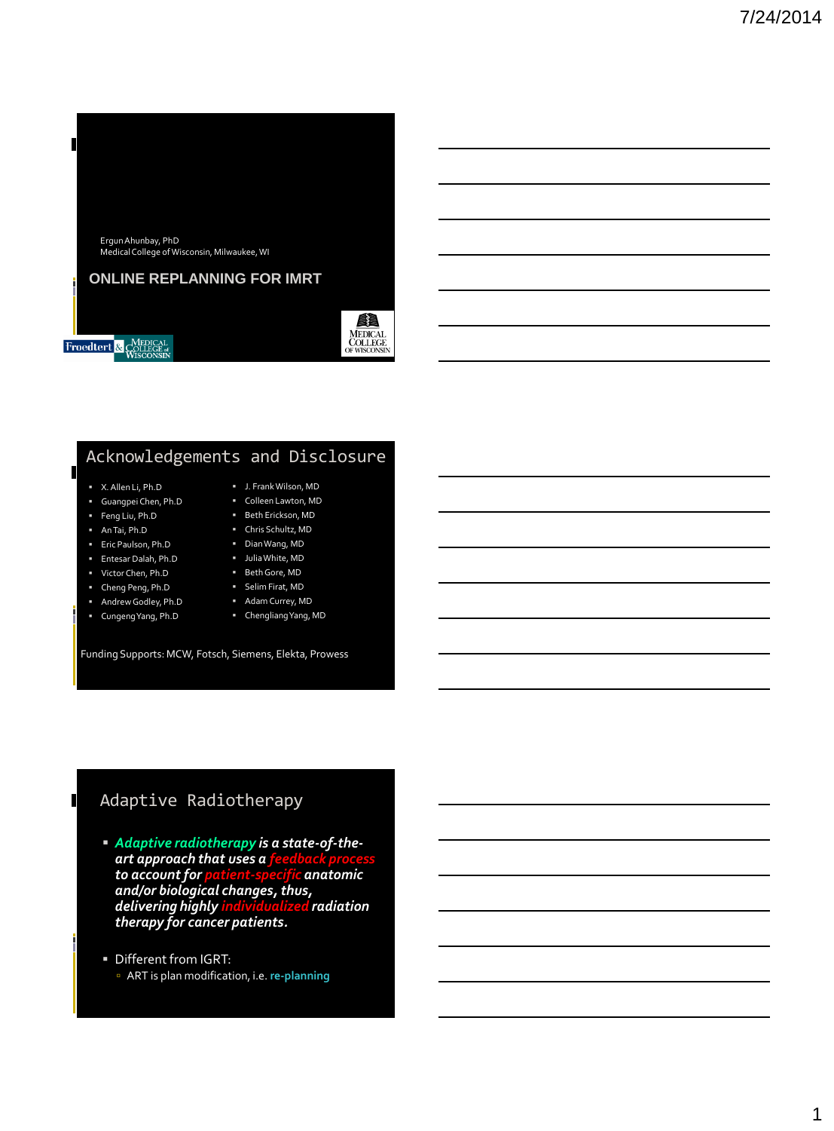

#### **ONLINE REPLANNING FOR IMRT**



**Froedtert** & COLLEGE<sub>R</sub>

## Acknowledgements and Disclosure

#### X. Allen Li, Ph.D

- Guangpei Chen, Ph.D
- Feng Liu, Ph.D
- An Tai, Ph.D

 $\blacksquare$ 

 $\blacksquare$ 

- Eric Paulson, Ph.D
- Entesar Dalah, Ph.D
- Victor Chen, Ph.D
- Cheng Peng, Ph.D
- Andrew Godley, Ph.D
- Cungeng Yang, Ph.D
- Adam Currey, MD
- Chengliang Yang, MD

 J. Frank Wilson, MD Colleen Lawton, MD **Beth Erickson, MD**  Chris Schultz, MD Dian Wang, MD Julia White, MD Beth Gore, MD Selim Firat, MD

Funding Supports: MCW, Fotsch, Siemens, Elekta, Prowess

## Adaptive Radiotherapy

- *Adaptive radiotherapy is a state-of-theart approach that uses a feedback process to account for and/or biological changes, thus, delivering highly individualized radiation therapy for cancer patients.*
- Different from IGRT: ART is plan modification, i.e. **re-planning**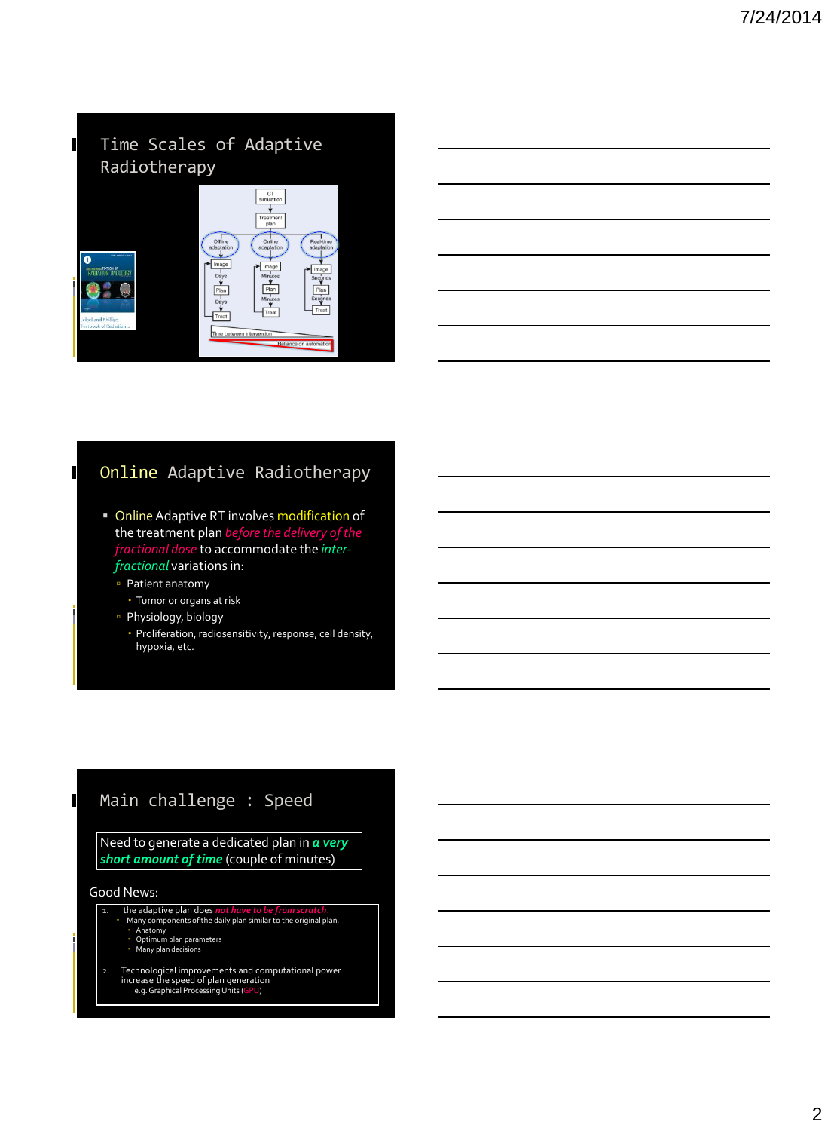#### $\blacksquare$ Time Scales of Adaptive Radiotherapy



## Online Adaptive Radiotherapy

- **Online Adaptive RT involves modification of** the treatment plan *before the delivery of the fractional dose* to accommodate the *interfractional* variations in:
	- Patient anatomy

 $\mathbf I$ 

 $\blacksquare$ 

- Tumor or organs at risk
- Physiology, biology
	- Proliferation, radiosensitivity, response, cell density, hypoxia, etc.

#### Main challenge : Speed

Need to generate a dedicated plan in *a very short amount of time* (couple of minutes)

#### Good News:

- 1. the adaptive plan does *not have to be from scratch*.<br>
Many components of the daily plan similar to the original plan,<br>
2. Anatomy<br>
2. Optimum plan parameters<br>
2. Many plan decisions
	- -
- 2. Technological improvements and computational power increase the speed of plan generation e.g. Graphical Processing Units (GPU)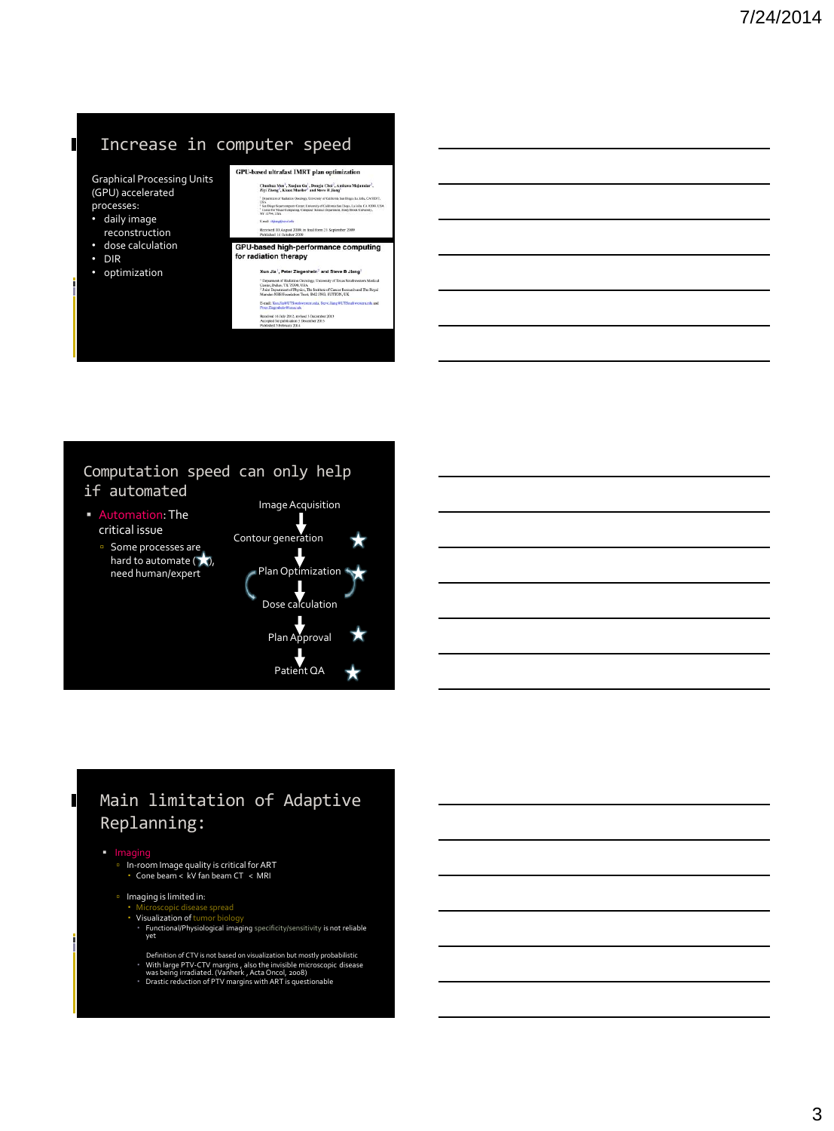# Increase in computer speed

Graphical Processing Unit (GPU) accelerated processes:

- daily image
- reconstruction • dose calculation
- DIR

 $\mathbf I$ 

• optimization

| Chunhua Men <sup>1</sup> , Xueiun Gu <sup>1</sup> , Donrin Choi <sup>2</sup> , Amitava Maiumdar <sup>2</sup> ,<br>Ziyi Zheng', Klaus Mueller' and Steve B Jiang'                                                                     |
|--------------------------------------------------------------------------------------------------------------------------------------------------------------------------------------------------------------------------------------|
| <sup>1</sup> Department of Radiation Oncelsary, University of California Sun Diggs, La Jolla, CA 92037,                                                                                                                              |
| 184.4<br><sup>2</sup> San Diego Sepercomputer Corner, University of California San Diego, La Jolla, CA 92093, USA<br><sup>1</sup> Center for Yinaal Compating, Computer Science Department, Store Brook University,<br>NY 11784, USA |
| E-rail: shiarutilsusd.edu                                                                                                                                                                                                            |
| Received 10 August 2009, in final form 21 September 2009                                                                                                                                                                             |
| Published 14 October 2009<br>GPU-based high-performance computing<br>for radiation therapy                                                                                                                                           |
| Xun Jia <sup>1</sup> , Peter Ziegenhein <sup>2</sup> and Steve B Jiang <sup>1</sup>                                                                                                                                                  |
| <sup>1</sup> Deparment of Radiation Oncology, University of Texas Southwestern Medical                                                                                                                                               |
| Coster, Dallas, TX 75300, USA<br><sup>2</sup> Joint Department of Physics. The Institute of Cancer Research and The Royal<br>Marsden NHS Foundation Trust, SM2 5NG, SUTTON, UK                                                       |
| E-mail: XunJia@UTSouthwestern.edu, Steve Jiang@UTSouthwestern.edu and<br>Peter Ziegenheit O'icrae ak                                                                                                                                 |

#### Computation speed can only help if automated

- Automation: The critical issue
	- **Some processes are** hard to automate  $(\bigstar)$ ,



# Main limitation of Adaptive Replanning:

 $\blacksquare$ 

- Imaging In-room Image quality is critical for ART Cone beam < kV fan beam CT < MRI
	-

### Imaging is limited in:

- Microscopic disease spread Visualization of tumor biology
- Functional/Physiological imaging specificity/sensitivity is not reliable yet
- Definition of CTV is not based on visualization but mostly probabilistic<br>• With large PTV-CTV margins , also the invisible microscopic disease<br>was being irradiated. (Vanherk , Acta Oncol, 2008)<br>• Drastic reduction of PTV m
-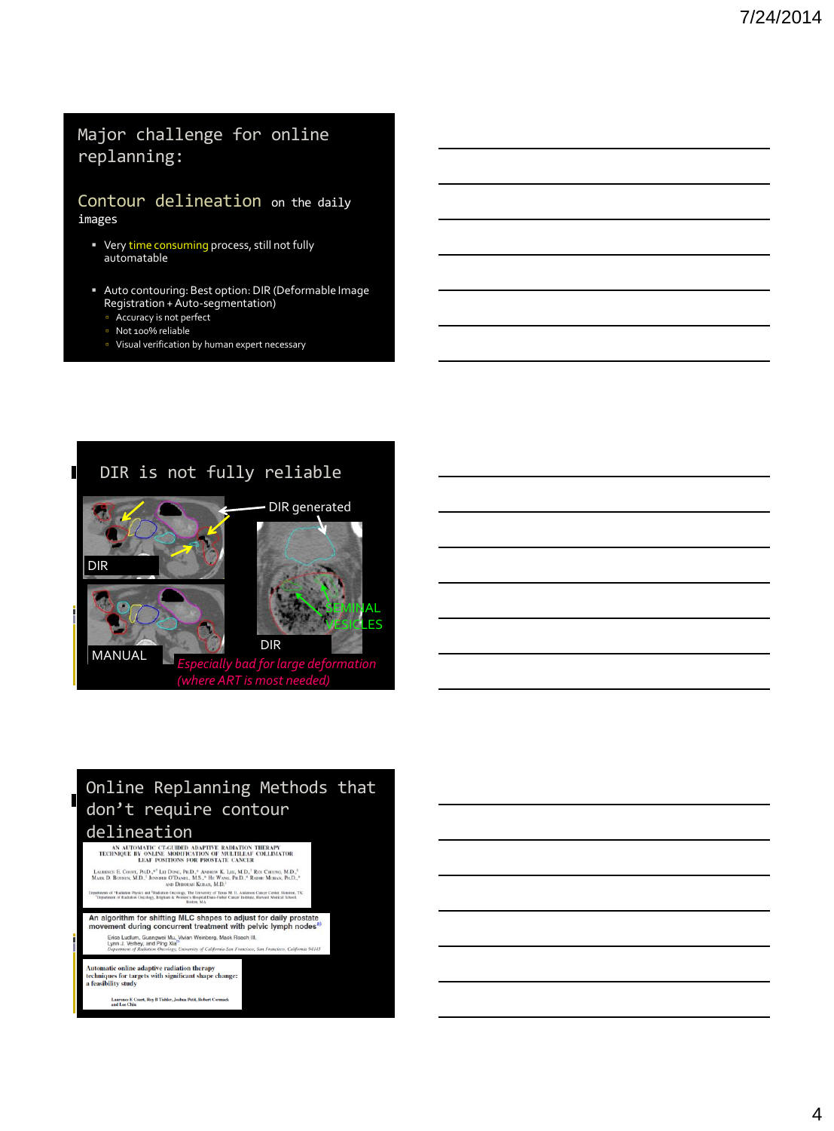## Major challenge for online replanning:

#### Contour delineation on the daily images

- Very time consuming process, still not fully automatable
- Auto contouring: Best option: DIR (Deformable Image Registration + Auto-segmentation)
	- **Accuracy is not perfect**
	- Not 100% reliable
	- Visual verification by human expert necessary



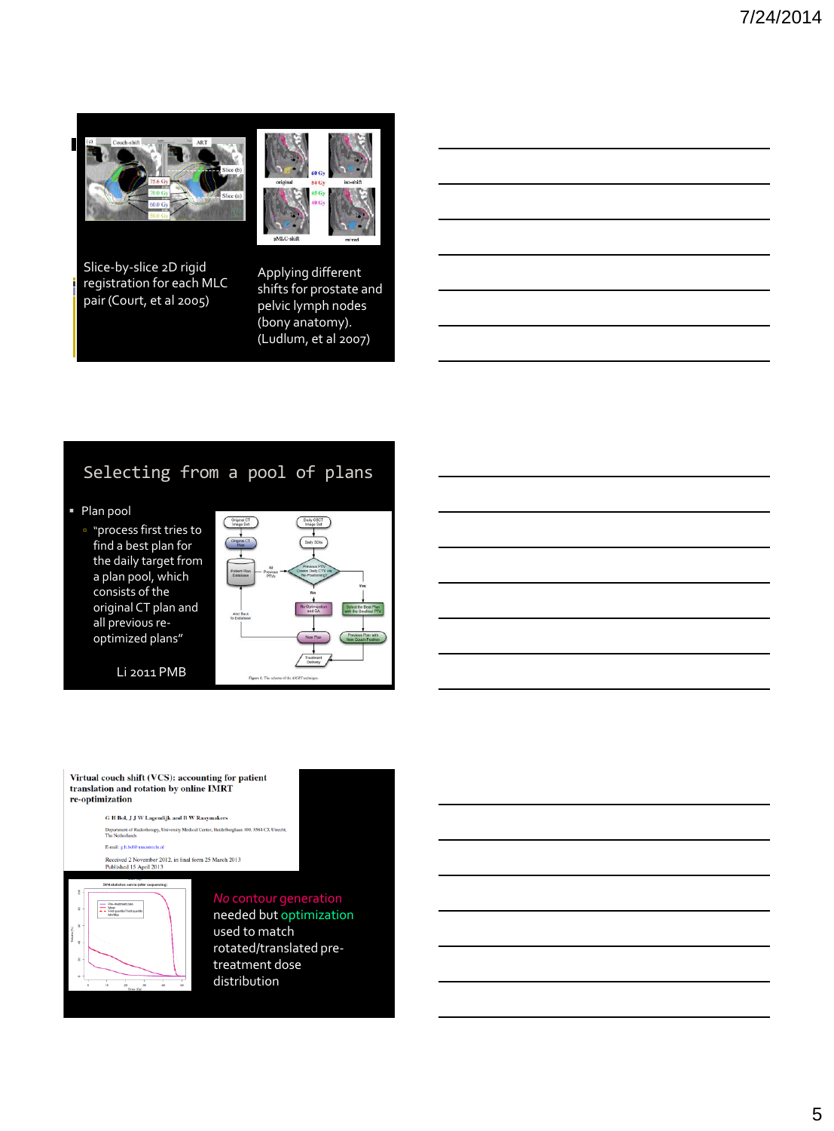



Slice-by-slice 2D rigid registration for each MLC pair (Court, et al 2005)

Applying different shifts for prostate and pelvic lymph nodes (bony anatomy). (Ludlum, et al 2007)

# Selecting from a pool of plans

- Plan pool
	- **p** "process first tries to find a best plan for the daily target from a plan pool, which consists of the original CT plan and all previous reoptimized plans"

Li 2011 PMB



Virtual couch shift (VCS): accounting for patient translation and rotation by online IMRT re-optimization

> G H Bol, J J W Lagendijk and B W Raaymakers O 11 DOI, J J W Lagentujk and D W Kaaymakers<br>Department of Radiotherapy, University Medical Center, Heidelberglaan 100, 3584 CX Utre<br>The Netherlands E-mail: e.h.bol@u trecht.nl  $\label{eq:reco} \text{Received 2 November 2012, in final form 25 March 2013}$  Published 15 April 2013



needed but optimization used to match rotated/translated pretreatment dose distribution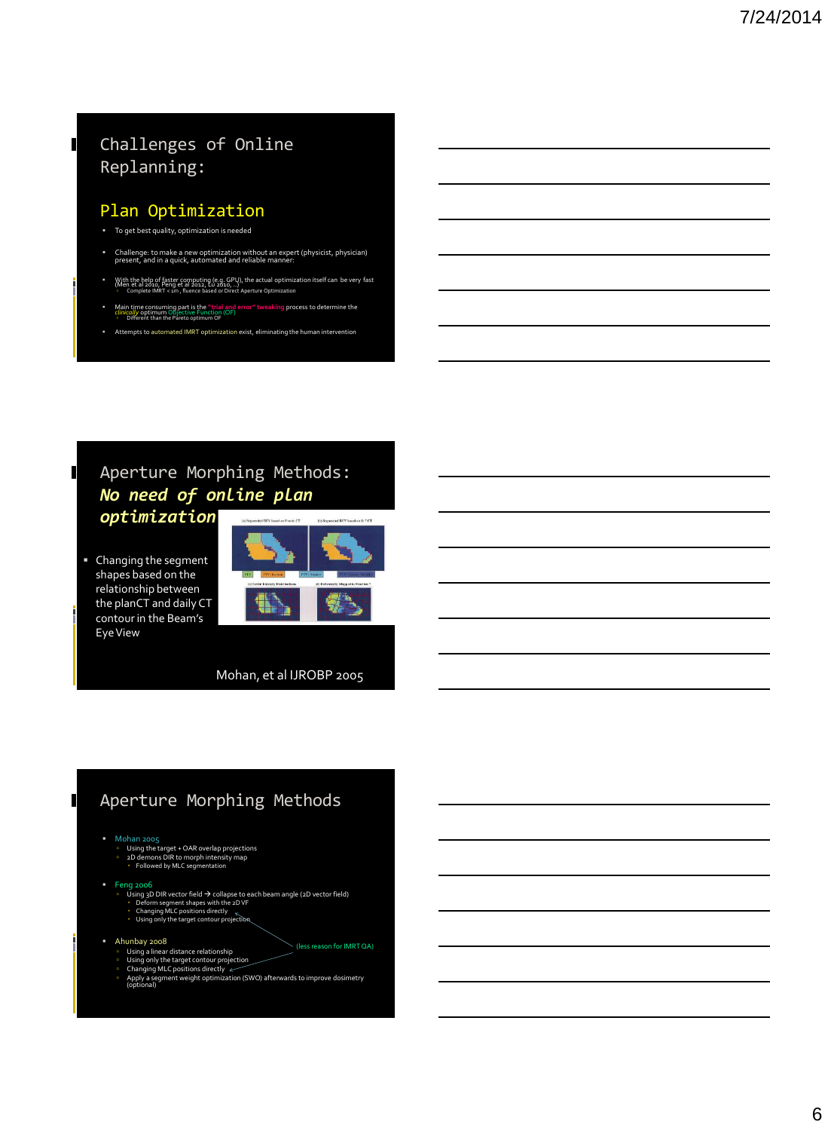## Challenges of Online Replanning:

#### Plan Optimization

To get best quality, optimization is needed

 $\blacksquare$ 

 $\blacksquare$ 

 $\blacksquare$ 

- Challenge: to make a new optimization without an expert (physicist, physician) present, and in a quick, automated and reliable manner:
- With the help of faster computing (e.g. GPU), the actual optimization itself can be very fast<br>(Men et al 2010, Peng et al 2012, Lu 2010, ...)<br>|- Complete IMRT < 1m , fluence based or Direct Aperture Optimization
- Main time consuming part is the "trial and error" tweaking process to determine the<br>*clinically* optimum Objective Function (OF)<br>○ Different than the Pareto optimum OF
- Attempts to automated IMRT optimization exist, eliminating the human intervention

### Aperture Morphing Methods: *No need of online plan optimization*

 Changing the segment shapes based on the relationship between the planCT and daily CT contour in the Beam's Eye View



Mohan, et al IJROBP 2005

#### Aperture Morphing Methods

- Mohan 2005<br>□ Using the target + OAR overlap projections<br>□ 2D demons DIR to morph intensity map<br>• Followed by MLC seqmentation
	-
	-

- Feng 2006<br>
Defing 3D DIR vector field → collapse to each beam angle (2D vector field)<br>
· Deform segment shapes with the 2D VF<br>
· Changing MLC positions directly  $\frac{1}{N}$ <br>
· Using only the target contour projection
	-
	-
- Ahunbay 2008
	-
	- Using a linear distance relationship Using only the target contour projection Changing MLC positions directly
	-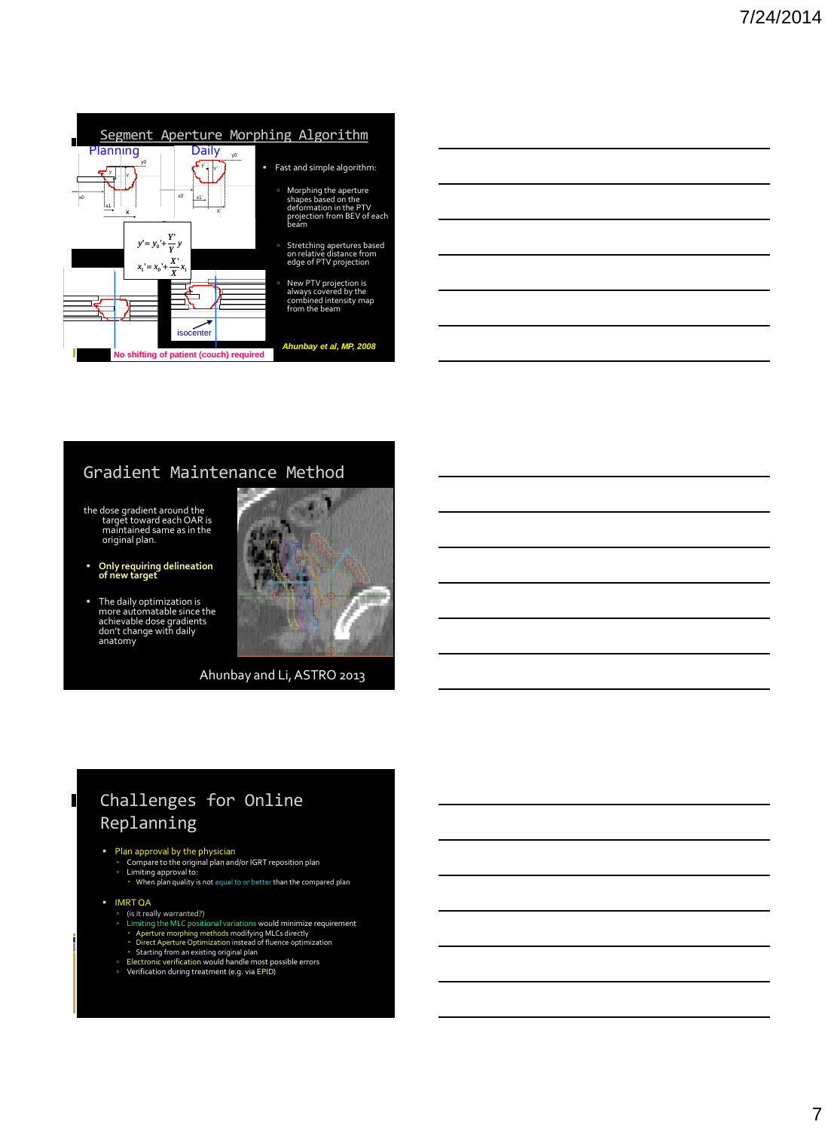

Morphing the aperture shapes based on the deformation in the PTV projection from BEV of each beam

#### Gradient Maintenance Method

- the dose gradient around the target toward each OAR is maintained same as in the original plan.
- **Only requiring delineation of new target**
- The daily optimization is more automatable since the achievable dose gradients don't change with daily anatomy



Ahunbay and Li, ASTRO 2013

# Challenges for Online Replanning

- Plan approval by the physician<br>
 Compare to the original plan and/or IGRT reposition plan<br>
 Limiting approval to:<br>
 When plan quality is not equal to or better than the compared plan
- **IMRT QA**

 $\blacksquare$ 

- (is it really warranted?)
- Filmiting the MLC positional variations would minimize requirement<br>- Aperture morphing methods modifying MLCs directly<br>- Direct Aperture Optimization instead of fluence optimization<br>- Electronic verification would handle
- 
- 
-